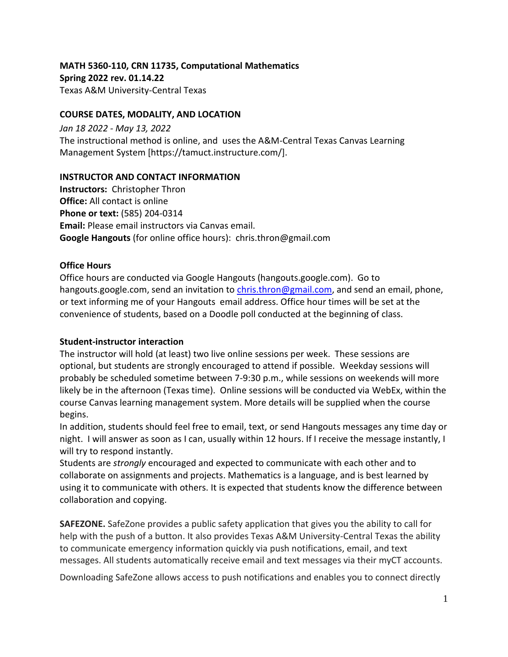**MATH 5360-110, CRN 11735, Computational Mathematics Spring 2022 rev. 01.14.22** Texas A&M University-Central Texas

#### **COURSE DATES, MODALITY, AND LOCATION**

*Jan 18 2022 - May 13, 2022* The instructional method is online, and uses the A&M-Central Texas Canvas Learning Management System [https://tamuct.instructure.com/].

#### **INSTRUCTOR AND CONTACT INFORMATION**

**Instructors:** Christopher Thron **Office:** All contact is online **Phone or text:** (585) 204-0314 **Email:** Please email instructors via Canvas email. **Google Hangouts** (for online office hours): chris.thron@gmail.com

#### **Office Hours**

Office hours are conducted via Google Hangouts (hangouts.google.com). Go to hangouts.google.com, send an invitation to [chris.thron@gmail.com,](mailto:chris.thron@gmail.com) and send an email, phone, or text informing me of your Hangouts email address. Office hour times will be set at the convenience of students, based on a Doodle poll conducted at the beginning of class.

#### **Student-instructor interaction**

The instructor will hold (at least) two live online sessions per week. These sessions are optional, but students are strongly encouraged to attend if possible. Weekday sessions will probably be scheduled sometime between 7-9:30 p.m., while sessions on weekends will more likely be in the afternoon (Texas time). Online sessions will be conducted via WebEx, within the course Canvas learning management system. More details will be supplied when the course begins.

In addition, students should feel free to email, text, or send Hangouts messages any time day or night. I will answer as soon as I can, usually within 12 hours. If I receive the message instantly, I will try to respond instantly.

Students are *strongly* encouraged and expected to communicate with each other and to collaborate on assignments and projects. Mathematics is a language, and is best learned by using it to communicate with others. It is expected that students know the difference between collaboration and copying.

**SAFEZONE.** SafeZone provides a public safety application that gives you the ability to call for help with the push of a button. It also provides Texas A&M University-Central Texas the ability to communicate emergency information quickly via push notifications, email, and text messages. All students automatically receive email and text messages via their myCT accounts.

Downloading SafeZone allows access to push notifications and enables you to connect directly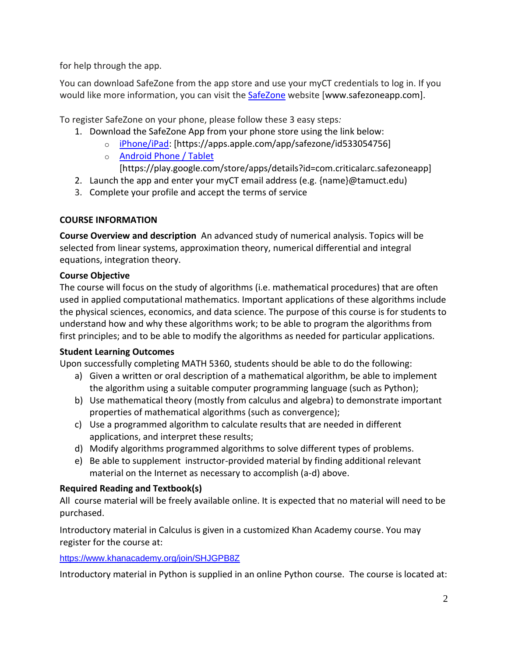for help through the app.

You can download SafeZone from the app store and use your myCT credentials to log in. If you would like more information, you can visit the [SafeZone](http://www.safezoneapp.com/) website [www.safezoneapp.com].

To register SafeZone on your phone, please follow these 3 easy steps*:*

- 1. Download the SafeZone App from your phone store using the link below:
	- o [iPhone/iPad:](https://apps.apple.com/app/safezone/id533054756) [https://apps.apple.com/app/safezone/id533054756]
	- o **[Android Phone / Tablet](https://play.google.com/store/apps/details?id=com.criticalarc.safezoneapp)**

[https://play.google.com/store/apps/details?id=com.criticalarc.safezoneapp]

- 2. Launch the app and enter your myCT email address (e.g. {name}@tamuct.edu)
- 3. Complete your profile and accept the terms of service

# **COURSE INFORMATION**

**Course Overview and description** An advanced study of numerical analysis. Topics will be selected from linear systems, approximation theory, numerical differential and integral equations, integration theory.

# **Course Objective**

The course will focus on the study of algorithms (i.e. mathematical procedures) that are often used in applied computational mathematics. Important applications of these algorithms include the physical sciences, economics, and data science. The purpose of this course is for students to understand how and why these algorithms work; to be able to program the algorithms from first principles; and to be able to modify the algorithms as needed for particular applications.

# **Student Learning Outcomes**

Upon successfully completing MATH 5360, students should be able to do the following:

- a) Given a written or oral description of a mathematical algorithm, be able to implement the algorithm using a suitable computer programming language (such as Python);
- b) Use mathematical theory (mostly from calculus and algebra) to demonstrate important properties of mathematical algorithms (such as convergence);
- c) Use a programmed algorithm to calculate results that are needed in different applications, and interpret these results;
- d) Modify algorithms programmed algorithms to solve different types of problems.
- e) Be able to supplement instructor-provided material by finding additional relevant material on the Internet as necessary to accomplish (a-d) above.

# **Required Reading and Textbook(s)**

All course material will be freely available online. It is expected that no material will need to be purchased.

Introductory material in Calculus is given in a customized Khan Academy course. You may register for the course at:

<https://www.khanacademy.org/join/SHJGPB8Z>

Introductory material in Python is supplied in an online Python course. The course is located at: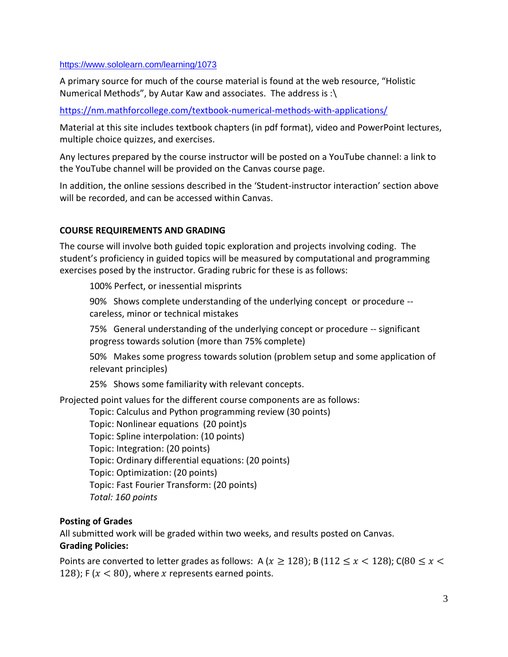#### <https://www.sololearn.com/learning/1073>

A primary source for much of the course material is found at the web resource, "Holistic Numerical Methods", by Autar Kaw and associates. The address is :\

<https://nm.mathforcollege.com/textbook-numerical-methods-with-applications/>

Material at this site includes textbook chapters (in pdf format), video and PowerPoint lectures, multiple choice quizzes, and exercises.

Any lectures prepared by the course instructor will be posted on a YouTube channel: a link to the YouTube channel will be provided on the Canvas course page.

In addition, the online sessions described in the 'Student-instructor interaction' section above will be recorded, and can be accessed within Canvas.

## **COURSE REQUIREMENTS AND GRADING**

The course will involve both guided topic exploration and projects involving coding. The student's proficiency in guided topics will be measured by computational and programming exercises posed by the instructor. Grading rubric for these is as follows:

100% Perfect, or inessential misprints

90% Shows complete understanding of the underlying concept or procedure - careless, minor or technical mistakes

75% General understanding of the underlying concept or procedure -- significant progress towards solution (more than 75% complete)

50% Makes some progress towards solution (problem setup and some application of relevant principles)

25% Shows some familiarity with relevant concepts.

Projected point values for the different course components are as follows:

Topic: Calculus and Python programming review (30 points)

Topic: Nonlinear equations (20 point)s

Topic: Spline interpolation: (10 points)

Topic: Integration: (20 points)

Topic: Ordinary differential equations: (20 points)

Topic: Optimization: (20 points)

Topic: Fast Fourier Transform: (20 points)

*Total: 160 points*

## **Posting of Grades**

All submitted work will be graded within two weeks, and results posted on Canvas. **Grading Policies:**

Points are converted to letter grades as follows: A ( $x \ge 128$ ); B (112  $\le x \le 128$ ); C(80  $\le x \le$ 128); F ( $x < 80$ ), where x represents earned points.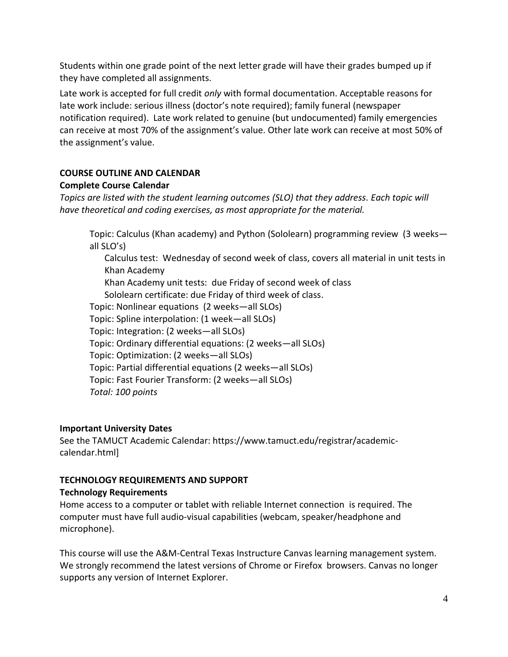Students within one grade point of the next letter grade will have their grades bumped up if they have completed all assignments.

Late work is accepted for full credit *only* with formal documentation. Acceptable reasons for late work include: serious illness (doctor's note required); family funeral (newspaper notification required). Late work related to genuine (but undocumented) family emergencies can receive at most 70% of the assignment's value. Other late work can receive at most 50% of the assignment's value.

# **COURSE OUTLINE AND CALENDAR**

## **Complete Course Calendar**

*Topics are listed with the student learning outcomes (SLO) that they address. Each topic will have theoretical and coding exercises, as most appropriate for the material.* 

Topic: Calculus (Khan academy) and Python (Sololearn) programming review (3 weeks all SLO's)

Calculus test: Wednesday of second week of class, covers all material in unit tests in Khan Academy Khan Academy unit tests: due Friday of second week of class Sololearn certificate: due Friday of third week of class. Topic: Nonlinear equations (2 weeks—all SLOs) Topic: Spline interpolation: (1 week—all SLOs) Topic: Integration: (2 weeks—all SLOs) Topic: Ordinary differential equations: (2 weeks—all SLOs) Topic: Optimization: (2 weeks—all SLOs) Topic: Partial differential equations (2 weeks—all SLOs) Topic: Fast Fourier Transform: (2 weeks—all SLOs)

*Total: 100 points*

#### **Important University Dates**

See the TAMUCT Academic Calendar: https://www.tamuct.edu/registrar/academiccalendar.html]

## **TECHNOLOGY REQUIREMENTS AND SUPPORT**

#### **Technology Requirements**

Home access to a computer or tablet with reliable Internet connection is required. The computer must have full audio-visual capabilities (webcam, speaker/headphone and microphone).

This course will use the A&M-Central Texas Instructure Canvas learning management system. We strongly recommend the latest versions of Chrome or Firefox browsers. Canvas no longer supports any version of Internet Explorer.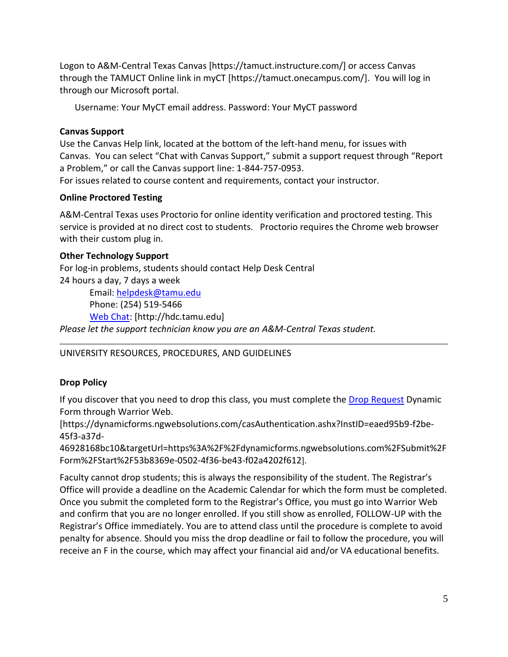Logon to A&M-Central Texas Canvas [https://tamuct.instructure.com/] or access Canvas through the TAMUCT Online link in myCT [https://tamuct.onecampus.com/]. You will log in through our Microsoft portal.

Username: Your MyCT email address. Password: Your MyCT password

### **Canvas Support**

Use the Canvas Help link, located at the bottom of the left-hand menu, for issues with Canvas. You can select "Chat with Canvas Support," submit a support request through "Report a Problem," or call the Canvas support line: 1-844-757-0953. For issues related to course content and requirements, contact your instructor.

## **Online Proctored Testing**

A&M-Central Texas uses Proctorio for online identity verification and proctored testing. This service is provided at no direct cost to students. Proctorio requires the Chrome web browser with their custom plug in.

## **Other Technology Support**

For log-in problems, students should contact Help Desk Central 24 hours a day, 7 days a week Email: [helpdesk@tamu.edu](mailto:helpdesk@tamu.edu) Phone: (254) 519-5466 [Web Chat:](http://hdc.tamu.edu/) [http://hdc.tamu.edu]

*Please let the support technician know you are an A&M-Central Texas student.*

# UNIVERSITY RESOURCES, PROCEDURES, AND GUIDELINES

# **Drop Policy**

If you discover that you need to drop this class, you must complete the **Drop Request** Dynamic Form through Warrior Web.

[https://dynamicforms.ngwebsolutions.com/casAuthentication.ashx?InstID=eaed95b9-f2be-45f3-a37d-

46928168bc10&targetUrl=https%3A%2F%2Fdynamicforms.ngwebsolutions.com%2FSubmit%2F Form%2FStart%2F53b8369e-0502-4f36-be43-f02a4202f612].

Faculty cannot drop students; this is always the responsibility of the student. The Registrar's Office will provide a deadline on the Academic Calendar for which the form must be completed. Once you submit the completed form to the Registrar's Office, you must go into Warrior Web and confirm that you are no longer enrolled. If you still show as enrolled, FOLLOW-UP with the Registrar's Office immediately. You are to attend class until the procedure is complete to avoid penalty for absence. Should you miss the drop deadline or fail to follow the procedure, you will receive an F in the course, which may affect your financial aid and/or VA educational benefits.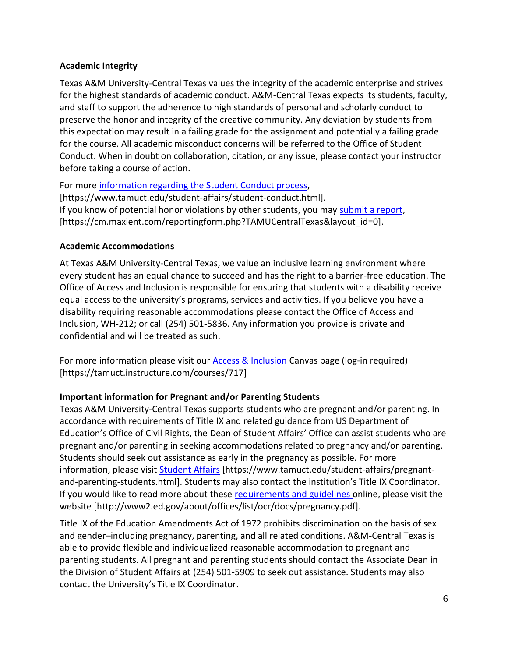### **Academic Integrity**

Texas A&M University-Central Texas values the integrity of the academic enterprise and strives for the highest standards of academic conduct. A&M-Central Texas expects its students, faculty, and staff to support the adherence to high standards of personal and scholarly conduct to preserve the honor and integrity of the creative community. Any deviation by students from this expectation may result in a failing grade for the assignment and potentially a failing grade for the course. All academic misconduct concerns will be referred to the Office of Student Conduct. When in doubt on collaboration, citation, or any issue, please contact your instructor before taking a course of action.

For more [information regarding the Student Conduct process,](https://www.tamuct.edu/student-affairs/student-conduct.html) [https://www.tamuct.edu/student-affairs/student-conduct.html]. If you know of potential honor violations by other students, you may [submit a report,](https://cm.maxient.com/reportingform.php?TAMUCentralTexas&layout_id=0) [https://cm.maxient.com/reportingform.php?TAMUCentralTexas&layout\_id=0].

#### **Academic Accommodations**

At Texas A&M University-Central Texas, we value an inclusive learning environment where every student has an equal chance to succeed and has the right to a barrier-free education. The Office of Access and Inclusion is responsible for ensuring that students with a disability receive equal access to the university's programs, services and activities. If you believe you have a disability requiring reasonable accommodations please contact the Office of Access and Inclusion, WH-212; or call (254) 501-5836. Any information you provide is private and confidential and will be treated as such.

For more information please visit our [Access & Inclusion](https://tamuct.instructure.com/courses/717) Canvas page (log-in required) [https://tamuct.instructure.com/courses/717]

## **Important information for Pregnant and/or Parenting Students**

Texas A&M University-Central Texas supports students who are pregnant and/or parenting. In accordance with requirements of Title IX and related guidance from US Department of Education's Office of Civil Rights, the Dean of Student Affairs' Office can assist students who are pregnant and/or parenting in seeking accommodations related to pregnancy and/or parenting. Students should seek out assistance as early in the pregnancy as possible. For more information, please visit [Student Affairs](https://www.tamuct.edu/student-affairs/pregnant-and-parenting-students.html) [https://www.tamuct.edu/student-affairs/pregnantand-parenting-students.html]. Students may also contact the institution's Title IX Coordinator. If you would like to read more about these [requirements and guidelines](http://www2.ed.gov/about/offices/list/ocr/docs/pregnancy.pdf) online, please visit the website [http://www2.ed.gov/about/offices/list/ocr/docs/pregnancy.pdf].

Title IX of the Education Amendments Act of 1972 prohibits discrimination on the basis of sex and gender–including pregnancy, parenting, and all related conditions. A&M-Central Texas is able to provide flexible and individualized reasonable accommodation to pregnant and parenting students. All pregnant and parenting students should contact the Associate Dean in the Division of Student Affairs at (254) 501-5909 to seek out assistance. Students may also contact the University's Title IX Coordinator.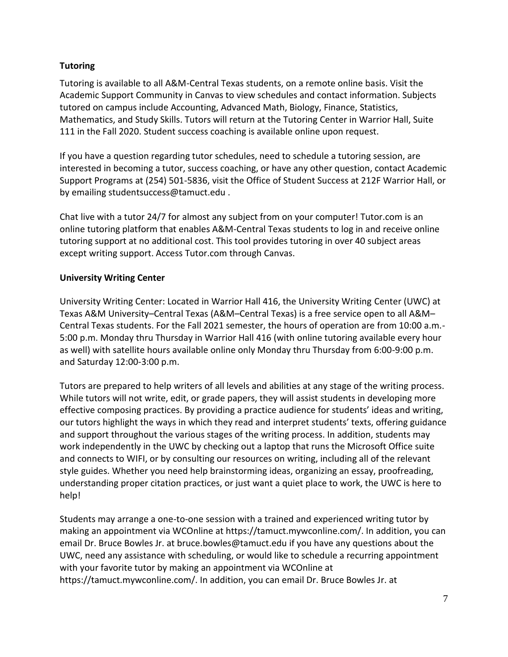## **Tutoring**

Tutoring is available to all A&M-Central Texas students, on a remote online basis. Visit the Academic Support Community in Canvas to view schedules and contact information. Subjects tutored on campus include Accounting, Advanced Math, Biology, Finance, Statistics, Mathematics, and Study Skills. Tutors will return at the Tutoring Center in Warrior Hall, Suite 111 in the Fall 2020. Student success coaching is available online upon request.

If you have a question regarding tutor schedules, need to schedule a tutoring session, are interested in becoming a tutor, success coaching, or have any other question, contact Academic Support Programs at (254) 501-5836, visit the Office of Student Success at 212F Warrior Hall, or by emailing studentsuccess@tamuct.edu .

Chat live with a tutor 24/7 for almost any subject from on your computer! Tutor.com is an online tutoring platform that enables A&M-Central Texas students to log in and receive online tutoring support at no additional cost. This tool provides tutoring in over 40 subject areas except writing support. Access Tutor.com through Canvas.

## **University Writing Center**

University Writing Center: Located in Warrior Hall 416, the University Writing Center (UWC) at Texas A&M University–Central Texas (A&M–Central Texas) is a free service open to all A&M– Central Texas students. For the Fall 2021 semester, the hours of operation are from 10:00 a.m.- 5:00 p.m. Monday thru Thursday in Warrior Hall 416 (with online tutoring available every hour as well) with satellite hours available online only Monday thru Thursday from 6:00-9:00 p.m. and Saturday 12:00-3:00 p.m.

Tutors are prepared to help writers of all levels and abilities at any stage of the writing process. While tutors will not write, edit, or grade papers, they will assist students in developing more effective composing practices. By providing a practice audience for students' ideas and writing, our tutors highlight the ways in which they read and interpret students' texts, offering guidance and support throughout the various stages of the writing process. In addition, students may work independently in the UWC by checking out a laptop that runs the Microsoft Office suite and connects to WIFI, or by consulting our resources on writing, including all of the relevant style guides. Whether you need help brainstorming ideas, organizing an essay, proofreading, understanding proper citation practices, or just want a quiet place to work, the UWC is here to help!

Students may arrange a one-to-one session with a trained and experienced writing tutor by making an appointment via WCOnline at https://tamuct.mywconline.com/. In addition, you can email Dr. Bruce Bowles Jr. at bruce.bowles@tamuct.edu if you have any questions about the UWC, need any assistance with scheduling, or would like to schedule a recurring appointment with your favorite tutor by making an appointment via WCOnline at https://tamuct.mywconline.com/. In addition, you can email Dr. Bruce Bowles Jr. at